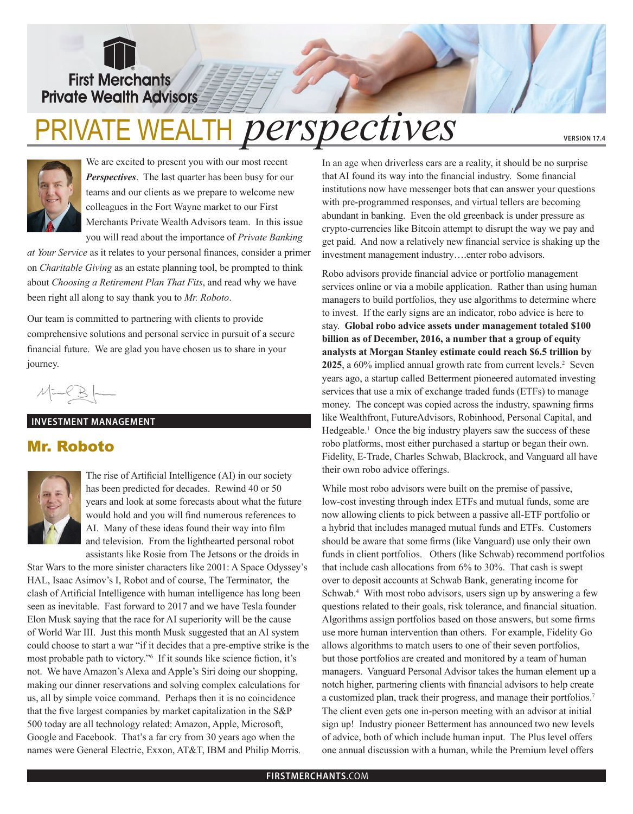**First Merchants Private Wealth Advisors:** 

# Private Wealth *perspectives*

**version 17.4**



We are excited to present you with our most recent *Perspectives*. The last quarter has been busy for our teams and our clients as we prepare to welcome new colleagues in the Fort Wayne market to our First Merchants Private Wealth Advisors team. In this issue you will read about the importance of *Private Banking* 

*at Your Service* as it relates to your personal finances, consider a primer on *Charitable Giving* as an estate planning tool, be prompted to think about *Choosing a Retirement Plan That Fits*, and read why we have been right all along to say thank you to *Mr. Roboto*.

Our team is committed to partnering with clients to provide comprehensive solutions and personal service in pursuit of a secure financial future. We are glad you have chosen us to share in your journey.

#### **INVESTMENT MANAGEMENT**

## Mr. Roboto



The rise of Artificial Intelligence (AI) in our society has been predicted for decades. Rewind 40 or 50 years and look at some forecasts about what the future would hold and you will find numerous references to AI. Many of these ideas found their way into film and television. From the lighthearted personal robot assistants like Rosie from The Jetsons or the droids in

Star Wars to the more sinister characters like 2001: A Space Odyssey's HAL, Isaac Asimov's I, Robot and of course, The Terminator, the clash of Artificial Intelligence with human intelligence has long been seen as inevitable. Fast forward to 2017 and we have Tesla founder Elon Musk saying that the race for AI superiority will be the cause of World War III. Just this month Musk suggested that an AI system could choose to start a war "if it decides that a pre-emptive strike is the most probable path to victory."6 If it sounds like science fiction, it's not. We have Amazon's Alexa and Apple's Siri doing our shopping, making our dinner reservations and solving complex calculations for us, all by simple voice command. Perhaps then it is no coincidence that the five largest companies by market capitalization in the S&P 500 today are all technology related: Amazon, Apple, Microsoft, Google and Facebook. That's a far cry from 30 years ago when the names were General Electric, Exxon, AT&T, IBM and Philip Morris.

In an age when driverless cars are a reality, it should be no surprise that AI found its way into the financial industry. Some financial institutions now have messenger bots that can answer your questions with pre-programmed responses, and virtual tellers are becoming abundant in banking. Even the old greenback is under pressure as crypto-currencies like Bitcoin attempt to disrupt the way we pay and get paid. And now a relatively new financial service is shaking up the investment management industry….enter robo advisors.

Robo advisors provide financial advice or portfolio management services online or via a mobile application. Rather than using human managers to build portfolios, they use algorithms to determine where to invest. If the early signs are an indicator, robo advice is here to stay. **Global robo advice assets under management totaled \$100 billion as of December, 2016, a number that a group of equity analysts at Morgan Stanley estimate could reach \$6.5 trillion by 2025**, a 60% implied annual growth rate from current levels.<sup>2</sup> Seven years ago, a startup called Betterment pioneered automated investing services that use a mix of exchange traded funds (ETFs) to manage money. The concept was copied across the industry, spawning firms like Wealthfront, FutureAdvisors, Robinhood, Personal Capital, and Hedgeable.<sup>1</sup> Once the big industry players saw the success of these robo platforms, most either purchased a startup or began their own. Fidelity, E-Trade, Charles Schwab, Blackrock, and Vanguard all have their own robo advice offerings.

While most robo advisors were built on the premise of passive, low-cost investing through index ETFs and mutual funds, some are now allowing clients to pick between a passive all-ETF portfolio or a hybrid that includes managed mutual funds and ETFs. Customers should be aware that some firms (like Vanguard) use only their own funds in client portfolios. Others (like Schwab) recommend portfolios that include cash allocations from 6% to 30%. That cash is swept over to deposit accounts at Schwab Bank, generating income for Schwab.<sup>4</sup> With most robo advisors, users sign up by answering a few questions related to their goals, risk tolerance, and financial situation. Algorithms assign portfolios based on those answers, but some firms use more human intervention than others. For example, Fidelity Go allows algorithms to match users to one of their seven portfolios, but those portfolios are created and monitored by a team of human managers. Vanguard Personal Advisor takes the human element up a notch higher, partnering clients with financial advisors to help create a customized plan, track their progress, and manage their portfolios.<sup>7</sup> The client even gets one in-person meeting with an advisor at initial sign up! Industry pioneer Betterment has announced two new levels of advice, both of which include human input. The Plus level offers one annual discussion with a human, while the Premium level offers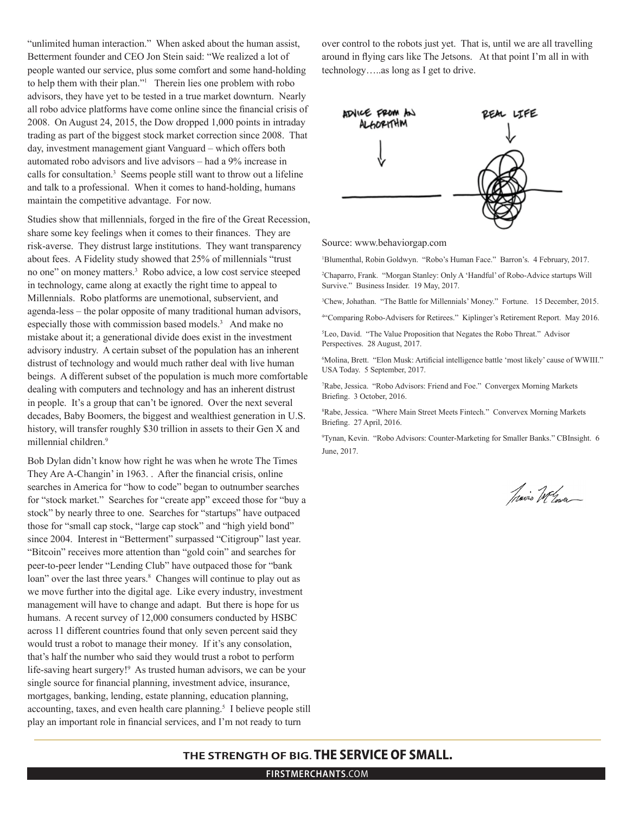"unlimited human interaction." When asked about the human assist, Betterment founder and CEO Jon Stein said: "We realized a lot of people wanted our service, plus some comfort and some hand-holding to help them with their plan."1 Therein lies one problem with robo advisors, they have yet to be tested in a true market downturn. Nearly all robo advice platforms have come online since the financial crisis of 2008. On August 24, 2015, the Dow dropped 1,000 points in intraday trading as part of the biggest stock market correction since 2008. That day, investment management giant Vanguard – which offers both automated robo advisors and live advisors – had a 9% increase in calls for consultation.3 Seems people still want to throw out a lifeline and talk to a professional. When it comes to hand-holding, humans maintain the competitive advantage. For now.

Studies show that millennials, forged in the fire of the Great Recession, share some key feelings when it comes to their finances. They are risk-averse. They distrust large institutions. They want transparency about fees. A Fidelity study showed that 25% of millennials "trust no one" on money matters.3 Robo advice, a low cost service steeped in technology, came along at exactly the right time to appeal to Millennials. Robo platforms are unemotional, subservient, and agenda-less – the polar opposite of many traditional human advisors, especially those with commission based models.<sup>3</sup> And make no mistake about it; a generational divide does exist in the investment advisory industry. A certain subset of the population has an inherent distrust of technology and would much rather deal with live human beings. A different subset of the population is much more comfortable dealing with computers and technology and has an inherent distrust in people. It's a group that can't be ignored. Over the next several decades, Baby Boomers, the biggest and wealthiest generation in U.S. history, will transfer roughly \$30 trillion in assets to their Gen X and millennial children.<sup>9</sup>

Bob Dylan didn't know how right he was when he wrote The Times They Are A-Changin' in 1963. . After the financial crisis, online searches in America for "how to code" began to outnumber searches for "stock market." Searches for "create app" exceed those for "buy a stock" by nearly three to one. Searches for "startups" have outpaced those for "small cap stock, "large cap stock" and "high yield bond" since 2004. Interest in "Betterment" surpassed "Citigroup" last year. "Bitcoin" receives more attention than "gold coin" and searches for peer-to-peer lender "Lending Club" have outpaced those for "bank loan" over the last three years.<sup>8</sup> Changes will continue to play out as we move further into the digital age. Like every industry, investment management will have to change and adapt. But there is hope for us humans. A recent survey of 12,000 consumers conducted by HSBC across 11 different countries found that only seven percent said they would trust a robot to manage their money. If it's any consolation, that's half the number who said they would trust a robot to perform life-saving heart surgery!<sup>9</sup> As trusted human advisors, we can be your single source for financial planning, investment advice, insurance, mortgages, banking, lending, estate planning, education planning, accounting, taxes, and even health care planning.<sup>5</sup> I believe people still play an important role in financial services, and I'm not ready to turn

over control to the robots just yet. That is, until we are all travelling around in flying cars like The Jetsons. At that point I'm all in with technology…..as long as I get to drive.



Source: www.behaviorgap.com

1 Blumenthal, Robin Goldwyn. "Robo's Human Face." Barron's. 4 February, 2017.

2 Chaparro, Frank. "Morgan Stanley: Only A 'Handful' of Robo-Advice startups Will Survive." Business Insider. 19 May, 2017.

3 Chew, Johathan. "The Battle for Millennials' Money." Fortune. 15 December, 2015.

4 "Comparing Robo-Advisers for Retirees." Kiplinger's Retirement Report. May 2016.

5 Leo, David. "The Value Proposition that Negates the Robo Threat." Advisor Perspectives. 28 August, 2017.

6 Molina, Brett. "Elon Musk: Artificial intelligence battle 'most likely' cause of WWIII." USA Today. 5 September, 2017.

7 Rabe, Jessica. "Robo Advisors: Friend and Foe." Convergex Morning Markets Briefing. 3 October, 2016.

8 Rabe, Jessica. "Where Main Street Meets Fintech." Convervex Morning Markets Briefing. 27 April, 2016.

9 Tynan, Kevin. "Robo Advisors: Counter-Marketing for Smaller Banks." CBInsight. 6 June, 2017.

Travis Welse

### THE STRENGTH OF BIG. THE SERVICE OF SMALL.

**firstmerchants**.com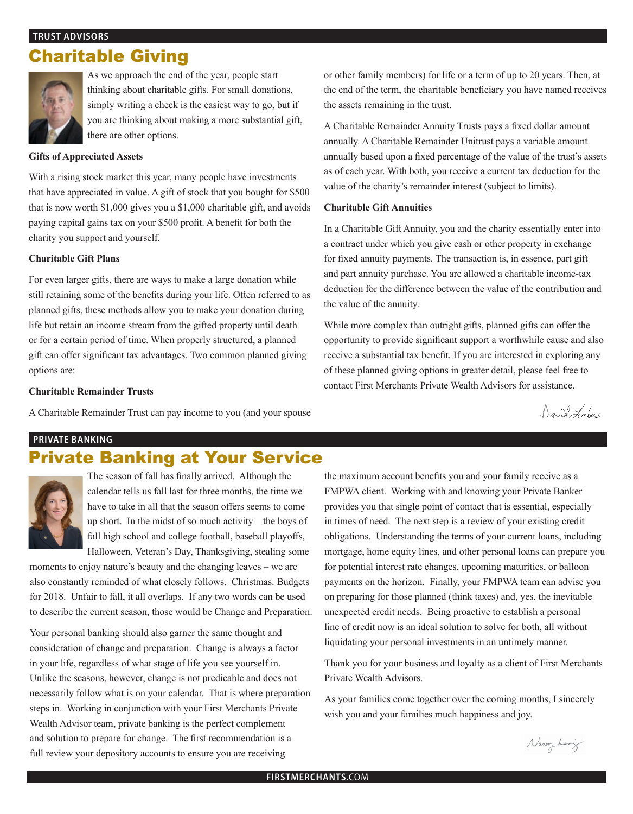#### **Trust Advisors**

# Charitable Giving



As we approach the end of the year, people start thinking about charitable gifts. For small donations, simply writing a check is the easiest way to go, but if you are thinking about making a more substantial gift, there are other options.

#### **Gifts of Appreciated Assets**

With a rising stock market this year, many people have investments that have appreciated in value. A gift of stock that you bought for \$500 that is now worth \$1,000 gives you a \$1,000 charitable gift, and avoids paying capital gains tax on your \$500 profit. A benefit for both the charity you support and yourself.

#### **Charitable Gift Plans**

For even larger gifts, there are ways to make a large donation while still retaining some of the benefits during your life. Often referred to as planned gifts, these methods allow you to make your donation during life but retain an income stream from the gifted property until death or for a certain period of time. When properly structured, a planned gift can offer significant tax advantages. Two common planned giving options are:

#### **Charitable Remainder Trusts**

A Charitable Remainder Trust can pay income to you (and your spouse

or other family members) for life or a term of up to 20 years. Then, at the end of the term, the charitable beneficiary you have named receives the assets remaining in the trust.

A Charitable Remainder Annuity Trusts pays a fixed dollar amount annually. A Charitable Remainder Unitrust pays a variable amount annually based upon a fixed percentage of the value of the trust's assets as of each year. With both, you receive a current tax deduction for the value of the charity's remainder interest (subject to limits).

#### **Charitable Gift Annuities**

In a Charitable Gift Annuity, you and the charity essentially enter into a contract under which you give cash or other property in exchange for fixed annuity payments. The transaction is, in essence, part gift and part annuity purchase. You are allowed a charitable income-tax deduction for the difference between the value of the contribution and the value of the annuity.

While more complex than outright gifts, planned gifts can offer the opportunity to provide significant support a worthwhile cause and also receive a substantial tax benefit. If you are interested in exploring any of these planned giving options in greater detail, please feel free to contact First Merchants Private Wealth Advisors for assistance.

David Frabes

#### **private banking**

## Private Banking at Your Service



The season of fall has finally arrived. Although the calendar tells us fall last for three months, the time we have to take in all that the season offers seems to come up short. In the midst of so much activity – the boys of fall high school and college football, baseball playoffs, Halloween, Veteran's Day, Thanksgiving, stealing some

moments to enjoy nature's beauty and the changing leaves – we are also constantly reminded of what closely follows. Christmas. Budgets for 2018. Unfair to fall, it all overlaps. If any two words can be used to describe the current season, those would be Change and Preparation.

Your personal banking should also garner the same thought and consideration of change and preparation. Change is always a factor in your life, regardless of what stage of life you see yourself in. Unlike the seasons, however, change is not predicable and does not necessarily follow what is on your calendar. That is where preparation steps in. Working in conjunction with your First Merchants Private Wealth Advisor team, private banking is the perfect complement and solution to prepare for change. The first recommendation is a full review your depository accounts to ensure you are receiving

the maximum account benefits you and your family receive as a FMPWA client. Working with and knowing your Private Banker provides you that single point of contact that is essential, especially in times of need. The next step is a review of your existing credit obligations. Understanding the terms of your current loans, including mortgage, home equity lines, and other personal loans can prepare you for potential interest rate changes, upcoming maturities, or balloon payments on the horizon. Finally, your FMPWA team can advise you on preparing for those planned (think taxes) and, yes, the inevitable unexpected credit needs. Being proactive to establish a personal line of credit now is an ideal solution to solve for both, all without liquidating your personal investments in an untimely manner.

Thank you for your business and loyalty as a client of First Merchants Private Wealth Advisors.

As your families come together over the coming months, I sincerely wish you and your families much happiness and joy.

Nancy Lery